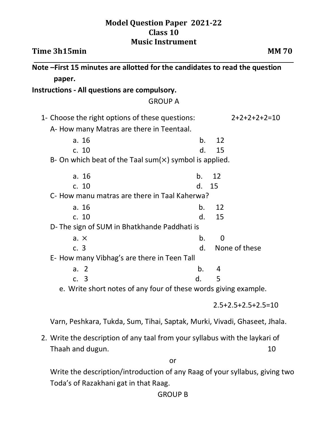## **Model Question Paper 2021-22 Class 10 Music Instrument**

| Time 3h15min                                                                 |                      | <b>MM70</b>          |
|------------------------------------------------------------------------------|----------------------|----------------------|
| Note - First 15 minutes are allotted for the candidates to read the question |                      |                      |
| paper.                                                                       |                      |                      |
| Instructions - All questions are compulsory.                                 |                      |                      |
| <b>GROUP A</b>                                                               |                      |                      |
| 1- Choose the right options of these questions:                              | $2+2+2+2+2=10$       |                      |
| A- How many Matras are there in Teentaal.                                    |                      |                      |
| a. 16                                                                        | b.                   | 12                   |
| c. 10                                                                        | $\mathbf{d}$ .       | 15                   |
| B- On which beat of the Taal sum $(x)$ symbol is applied.                    |                      |                      |
| a. 16                                                                        | b.                   | 12                   |
| c. 10                                                                        | $\mathsf{d}_{\cdot}$ | 15                   |
| C- How manu matras are there in Taal Kaherwa?                                |                      |                      |
| a. $16$                                                                      | $\mathbf{b}$ .       | 12                   |
| c. 10                                                                        | $\mathsf{d}$ .       | 15                   |
| D-The sign of SUM in Bhatkhande Paddhati is                                  |                      |                      |
| $a. \times$                                                                  | $\mathbf b$ .        | $\Omega$             |
| c.3                                                                          | d.                   | None of these        |
| E- How many Vibhag's are there in Teen Tall                                  |                      |                      |
| a. $2$                                                                       | b <sub>1</sub>       | 4                    |
| c. 3                                                                         | $\mathsf{d}$ .       | 5                    |
| e. Write short notes of any four of these words giving example.              |                      |                      |
|                                                                              |                      | $2.5+2.5+2.5+2.5=10$ |

Varn, Peshkara, Tukda, Sum, Tihai, Saptak, Murki, Vivadi, Ghaseet, Jhala.

2. Write the description of any taal from your syllabus with the laykari of Thaah and dugun. 10

or

Write the description/introduction of any Raag of your syllabus, giving two Toda's of Razakhani gat in that Raag.